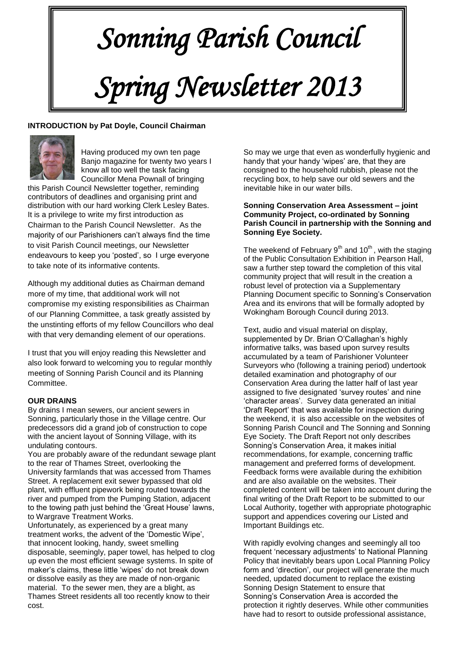# *Sonning Parish Council Spring Newsletter 2013*

# **INTRODUCTION by Pat Doyle, Council Chairman**



Having produced my own ten page Banjo magazine for twenty two years I know all too well the task facing Councillor Mena Pownall of bringing

this Parish Council Newsletter together, reminding contributors of deadlines and organising print and distribution with our hard working Clerk Lesley Bates. It is a privilege to write my first introduction as Chairman to the Parish Council Newsletter. As the majority of our Parishioners can't always find the time to visit Parish Council meetings, our Newsletter endeavours to keep you 'posted', so I urge everyone to take note of its informative contents.

Although my additional duties as Chairman demand more of my time, that additional work will not compromise my existing responsibilities as Chairman of our Planning Committee, a task greatly assisted by the unstinting efforts of my fellow Councillors who deal with that very demanding element of our operations.

I trust that you will enjoy reading this Newsletter and also look forward to welcoming you to regular monthly meeting of Sonning Parish Council and its Planning Committee.

# **OUR DRAINS**

By drains I mean sewers, our ancient sewers in Sonning, particularly those in the Village centre. Our predecessors did a grand job of construction to cope with the ancient layout of Sonning Village, with its undulating contours.

You are probably aware of the redundant sewage plant to the rear of Thames Street, overlooking the University farmlands that was accessed from Thames Street. A replacement exit sewer bypassed that old plant, with effluent pipework being routed towards the river and pumped from the Pumping Station, adjacent to the towing path just behind the 'Great House' lawns, to Wargrave Treatment Works.

Unfortunately, as experienced by a great many treatment works, the advent of the 'Domestic Wipe', that innocent looking, handy, sweet smelling disposable, seemingly, paper towel, has helped to clog up even the most efficient sewage systems. In spite of maker's claims, these little 'wipes' do not break down or dissolve easily as they are made of non-organic material. To the sewer men, they are a blight, as Thames Street residents all too recently know to their cost.

So may we urge that even as wonderfully hygienic and handy that your handy 'wipes' are, that they are consigned to the household rubbish, please not the recycling box, to help save our old sewers and the inevitable hike in our water bills.

#### **Sonning Conservation Area Assessment – joint Community Project, co-ordinated by Sonning Parish Council in partnership with the Sonning and Sonning Eye Society.**

The weekend of February  $9<sup>th</sup>$  and  $10<sup>th</sup>$ , with the staging of the Public Consultation Exhibition in Pearson Hall, saw a further step toward the completion of this vital community project that will result in the creation a robust level of protection via a Supplementary Planning Document specific to Sonning's Conservation Area and its environs that will be formally adopted by Wokingham Borough Council during 2013.

Text, audio and visual material on display, supplemented by Dr. Brian O'Callaghan's highly informative talks, was based upon survey results accumulated by a team of Parishioner Volunteer Surveyors who (following a training period) undertook detailed examination and photography of our Conservation Area during the latter half of last year assigned to five designated 'survey routes' and nine 'character areas'. Survey data generated an initial 'Draft Report' that was available for inspection during the weekend, it is also accessible on the websites of Sonning Parish Council and The Sonning and Sonning Eye Society. The Draft Report not only describes Sonning's Conservation Area, it makes initial recommendations, for example, concerning traffic management and preferred forms of development. Feedback forms were available during the exhibition and are also available on the websites. Their completed content will be taken into account during the final writing of the Draft Report to be submitted to our Local Authority, together with appropriate photographic support and appendices covering our Listed and Important Buildings etc.

With rapidly evolving changes and seemingly all too frequent 'necessary adjustments' to National Planning Policy that inevitably bears upon Local Planning Policy form and 'direction', our project will generate the much needed, updated document to replace the existing Sonning Design Statement to ensure that Sonning's Conservation Area is accorded the protection it rightly deserves. While other communities have had to resort to outside professional assistance,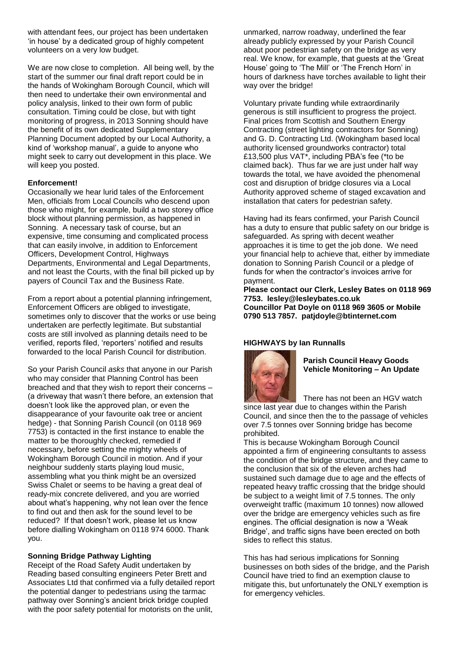with attendant fees, our project has been undertaken 'in house' by a dedicated group of highly competent volunteers on a very low budget.

We are now close to completion. All being well, by the start of the summer our final draft report could be in the hands of Wokingham Borough Council, which will then need to undertake their own environmental and policy analysis, linked to their own form of public consultation. Timing could be close, but with tight monitoring of progress, in 2013 Sonning should have the benefit of its own dedicated Supplementary Planning Document adopted by our Local Authority, a kind of 'workshop manual', a guide to anyone who might seek to carry out development in this place. We will keep you posted.

#### **Enforcement!**

Occasionally we hear lurid tales of the Enforcement Men, officials from Local Councils who descend upon those who might, for example, build a two storey office block without planning permission, as happened in Sonning. A necessary task of course, but an expensive, time consuming and complicated process that can easily involve, in addition to Enforcement Officers, Development Control, Highways Departments, Environmental and Legal Departments, and not least the Courts, with the final bill picked up by payers of Council Tax and the Business Rate.

From a report about a potential planning infringement, Enforcement Officers are obliged to investigate, sometimes only to discover that the works or use being undertaken are perfectly legitimate. But substantial costs are still involved as planning details need to be verified, reports filed, 'reporters' notified and results forwarded to the local Parish Council for distribution.

So your Parish Council *asks* that anyone in our Parish who may consider that Planning Control has been breached and that they wish to report their concerns – (a driveway that wasn't there before, an extension that doesn't look like the approved plan, or even the disappearance of your favourite oak tree or ancient hedge) - that Sonning Parish Council (on 0118 969 7753) is contacted in the first instance to enable the matter to be thoroughly checked, remedied if necessary, before setting the mighty wheels of Wokingham Borough Council in motion. And if your neighbour suddenly starts playing loud music, assembling what you think might be an oversized Swiss Chalet or seems to be having a great deal of ready-mix concrete delivered, and you are worried about what's happening, why not lean over the fence to find out and then ask for the sound level to be reduced? If that doesn't work, please let us know before dialling Wokingham on 0118 974 6000. Thank you.

## **Sonning Bridge Pathway Lighting**

Receipt of the Road Safety Audit undertaken by Reading based consulting engineers Peter Brett and Associates Ltd that confirmed via a fully detailed report the potential danger to pedestrians using the tarmac pathway over Sonning's ancient brick bridge coupled with the poor safety potential for motorists on the unlit,

unmarked, narrow roadway, underlined the fear already publicly expressed by your Parish Council about poor pedestrian safety on the bridge as very real. We know, for example, that guests at the 'Great House' going to 'The Mill' or 'The French Horn' in hours of darkness have torches available to light their way over the bridge!

Voluntary private funding while extraordinarily generous is still insufficient to progress the project. Final prices from Scottish and Southern Energy Contracting (street lighting contractors for Sonning) and G. D. Contracting Ltd. (Wokingham based local authority licensed groundworks contractor) total £13,500 plus VAT\*, including PBA's fee (\*to be claimed back). Thus far we are just under half way towards the total, we have avoided the phenomenal cost and disruption of bridge closures via a Local Authority approved scheme of staged excavation and installation that caters for pedestrian safety.

Having had its fears confirmed, your Parish Council has a duty to ensure that public safety on our bridge is safeguarded. As spring with decent weather approaches it is time to get the job done. We need your financial help to achieve that, either by immediate donation to Sonning Parish Council or a pledge of funds for when the contractor's invoices arrive for payment.

**Please contact our Clerk, Lesley Bates on 0118 969 7753. [lesley@lesleybates.co.uk](mailto:lesley@lesleybates.co.uk) Councillor Pat Doyle on 0118 969 3605 or Mobile 0790 513 7857. [patjdoyle@btinternet.com](mailto:patjdoyle@btinternet.com)**

## **HIGHWAYS by Ian Runnalls**



**Parish Council Heavy Goods Vehicle Monitoring – An Update**

There has not been an HGV watch

since last year due to changes within the Parish Council, and since then the to the passage of vehicles over 7.5 tonnes over Sonning bridge has become prohibited.

This is because Wokingham Borough Council appointed a firm of engineering consultants to assess the condition of the bridge structure, and they came to the conclusion that six of the eleven arches had sustained such damage due to age and the effects of repeated heavy traffic crossing that the bridge should be subject to a weight limit of 7.5 tonnes. The only overweight traffic (maximum 10 tonnes) now allowed over the bridge are emergency vehicles such as fire engines. The official designation is now a 'Weak Bridge', and traffic signs have been erected on both sides to reflect this status.

This has had serious implications for Sonning businesses on both sides of the bridge, and the Parish Council have tried to find an exemption clause to mitigate this, but unfortunately the ONLY exemption is for emergency vehicles.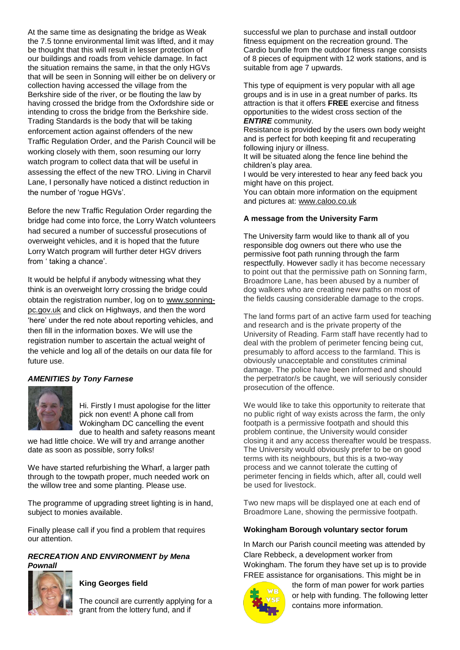At the same time as designating the bridge as Weak the 7.5 tonne environmental limit was lifted, and it may be thought that this will result in lesser protection of our buildings and roads from vehicle damage. In fact the situation remains the same, in that the only HGVs that will be seen in Sonning will either be on delivery or collection having accessed the village from the Berkshire side of the river, or be flouting the law by having crossed the bridge from the Oxfordshire side or intending to cross the bridge from the Berkshire side. Trading Standards is the body that will be taking enforcement action against offenders of the new Traffic Regulation Order, and the Parish Council will be working closely with them, soon resuming our lorry watch program to collect data that will be useful in assessing the effect of the new TRO. Living in Charvil Lane, I personally have noticed a distinct reduction in the number of 'rogue HGVs'.

Before the new Traffic Regulation Order regarding the bridge had come into force, the Lorry Watch volunteers had secured a number of successful prosecutions of overweight vehicles, and it is hoped that the future Lorry Watch program will further deter HGV drivers from ' taking a chance'.

It would be helpful if anybody witnessing what they think is an overweight lorry crossing the bridge could obtain the registration number, log on to [www.sonning](http://www.sonning-pc.gov.uk/)[pc.gov.uk](http://www.sonning-pc.gov.uk/) and click on Highways, and then the word 'here' under the red note about reporting vehicles, and then fill in the information boxes. We will use the registration number to ascertain the actual weight of the vehicle and log all of the details on our data file for future use.

## *AMENITIES by Tony Farnese*



Hi. Firstly I must apologise for the litter pick non event! A phone call from Wokingham DC cancelling the event due to health and safety reasons meant

we had little choice. We will try and arrange another date as soon as possible, sorry folks!

We have started refurbishing the Wharf, a larger path through to the towpath proper, much needed work on the willow tree and some planting. Please use.

The programme of upgrading street lighting is in hand, subject to monies available.

Finally please call if you find a problem that requires our attention.

## *RECREATION AND ENVIRONMENT by Mena Pownall*



## **King Georges field**

The council are currently applying for a grant from the lottery fund, and if

successful we plan to purchase and install outdoor fitness equipment on the recreation ground. The Cardio bundle from the outdoor fitness range consists of 8 pieces of equipment with 12 work stations, and is suitable from age 7 upwards.

This type of equipment is very popular with all age groups and is in use in a great number of parks. Its attraction is that it offers **FREE** exercise and fitness opportunities to the widest cross section of the *ENTIRE* community.

Resistance is provided by the users own body weight and is perfect for both keeping fit and recuperating following injury or illness.

It will be situated along the fence line behind the children's play area.

I would be very interested to hear any feed back you might have on this project.

You can obtain more information on the equipment and pictures at: [www.caloo.co.uk](http://www.caloo.co.uk/)

#### **A message from the University Farm**

The University farm would like to thank all of you responsible dog owners out there who use the permissive foot path running through the farm respectfully. However sadly it has become necessary to point out that the permissive path on Sonning farm, Broadmore Lane, has been abused by a number of dog walkers who are creating new paths on most of the fields causing considerable damage to the crops.

The land forms part of an active farm used for teaching and research and is the private property of the University of Reading. Farm staff have recently had to deal with the problem of perimeter fencing being cut, presumably to afford access to the farmland. This is obviously unacceptable and constitutes criminal damage. The police have been informed and should the perpetrator/s be caught, we will seriously consider prosecution of the offence.

We would like to take this opportunity to reiterate that no public right of way exists across the farm, the only footpath is a permissive footpath and should this problem continue, the University would consider closing it and any access thereafter would be trespass. The University would obviously prefer to be on good terms with its neighbours, but this is a two-way process and we cannot tolerate the cutting of perimeter fencing in fields which, after all, could well be used for livestock.

Two new maps will be displayed one at each end of Broadmore Lane, showing the permissive footpath.

#### **Wokingham Borough voluntary sector forum**

In March our Parish council meeting was attended by Clare Rebbeck, a development worker from Wokingham. The forum they have set up is to provide FREE assistance for organisations. This might be in



the form of man power for work parties or help with funding. The following letter contains more information.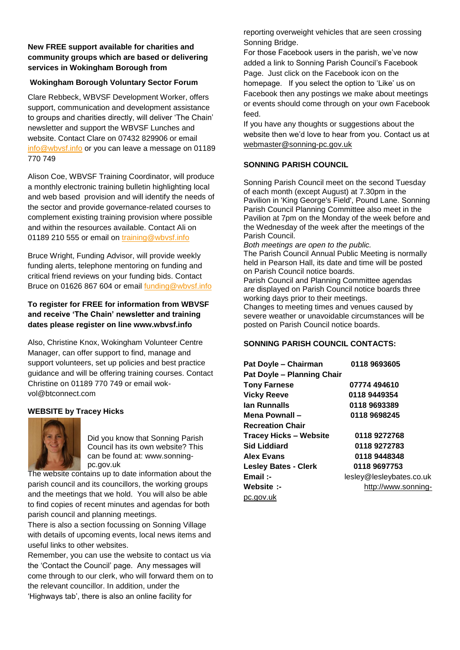## **New FREE support available for charities and community groups which are based or delivering services in Wokingham Borough from**

## **Wokingham Borough Voluntary Sector Forum**

Clare Rebbeck, WBVSF Development Worker, offers support, communication and development assistance to groups and charities directly, will deliver 'The Chain' newsletter and support the WBVSF Lunches and website. Contact Clare on 07432 829906 or email [info@wbvsf.info](mailto:info@wbvsf.info) or you can leave a message on 01189 770 749

Alison Coe, WBVSF Training Coordinator, will produce a monthly electronic training bulletin highlighting local and web based provision and will identify the needs of the sector and provide governance-related courses to complement existing training provision where possible and within the resources available. Contact Ali on 01189 210 555 or email on [training@wbvsf.info](mailto:training@wbvsf.info)

Bruce Wright, Funding Advisor, will provide weekly funding alerts, telephone mentoring on funding and critical friend reviews on your funding bids. Contact Bruce on 01626 867 604 or email [funding@wbvsf.info](mailto:funding@wbvsf.info) 

# **To register for FREE for information from WBVSF and receive 'The Chain' newsletter and training dates please register on line www.wbvsf.info**

Also, Christine Knox, Wokingham Volunteer Centre Manager, can offer support to find, manage and support volunteers, set up policies and best practice guidance and will be offering training courses. Contact Christine on 01189 770 749 or email wokvol@btconnect.com

# **WEBSITE by Tracey Hicks**



Did you know that Sonning Parish Council has its own website? This can be found at: www.sonningpc.gov.uk

The website contains up to date information about the parish council and its councillors, the working groups and the meetings that we hold. You will also be able to find copies of recent minutes and agendas for both parish council and planning meetings.

There is also a section focussing on Sonning Village with details of upcoming events, local news items and useful links to other websites.

Remember, you can use the website to contact us via the 'Contact the Council' page. Any messages will come through to our clerk, who will forward them on to the relevant councillor. In addition, under the 'Highways tab', there is also an online facility for

reporting overweight vehicles that are seen crossing Sonning Bridge.

For those Facebook users in the parish, we've now added a link to Sonning Parish Council's Facebook Page. Just click on the Facebook icon on the homepage. If you select the option to 'Like' us on Facebook then any postings we make about meetings or events should come through on your own Facebook feed.

If you have any thoughts or suggestions about the website then we'd love to hear from you. Contact us at [webmaster@sonning-pc.gov.uk](mailto:webmaster@sonning-pc.gov.uk)

## **SONNING PARISH COUNCIL**

Sonning Parish Council meet on the second Tuesday of each month (except August) at 7.30pm in the Pavilion in 'King George's Field', Pound Lane. Sonning Parish Council Planning Committee also meet in the Pavilion at 7pm on the Monday of the week before and the Wednesday of the week after the meetings of the Parish Council.

*Both meetings are open to the public.*

The Parish Council Annual Public Meeting is normally held in Pearson Hall, its date and time will be posted on Parish Council notice boards.

Parish Council and Planning Committee agendas are displayed on Parish Council notice boards three working days prior to their meetings.

Changes to meeting times and venues caused by severe weather or unavoidable circumstances will be posted on Parish Council notice boards.

## **SONNING PARISH COUNCIL CONTACTS:**

| Pat Doyle - Chairman          | 0118 9693605             |
|-------------------------------|--------------------------|
| Pat Doyle - Planning Chair    |                          |
| <b>Tony Farnese</b>           | 07774 494610             |
| <b>Vicky Reeve</b>            | 0118 9449354             |
| lan Runnalls                  | 0118 9693389             |
| Mena Pownall -                | 0118 9698245             |
| <b>Recreation Chair</b>       |                          |
| <b>Tracey Hicks - Website</b> | 0118 9272768             |
| <b>Sid Liddiard</b>           | 0118 9272783             |
| <b>Alex Evans</b>             | 0118 9448348             |
| <b>Lesley Bates - Clerk</b>   | 0118 9697753             |
| Email :-                      | lesley@lesleybates.co.uk |
| <b>Website :-</b>             | http://www.sonning-      |
| pc.gov.uk                     |                          |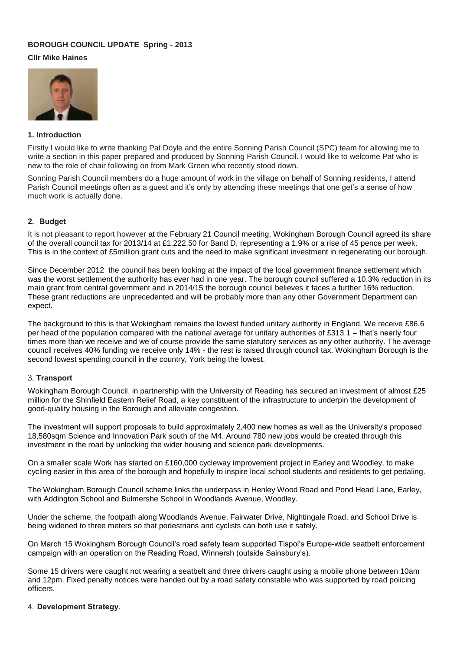## **BOROUGH COUNCIL UPDATE Spring - 2013**

## **Cllr Mike Haines**



## **1. Introduction**

Firstly I would like to write thanking Pat Doyle and the entire Sonning Parish Council (SPC) team for allowing me to write a section in this paper prepared and produced by Sonning Parish Council. I would like to welcome Pat who is new to the role of chair following on from Mark Green who recently stood down.

Sonning Parish Council members do a huge amount of work in the village on behalf of Sonning residents, I attend Parish Council meetings often as a guest and it's only by attending these meetings that one get's a sense of how much work is actually done.

## **2. Budget**

It is not pleasant to report however at the February 21 Council meeting, Wokingham Borough Council agreed its share of the overall council tax for 2013/14 at £1,222.50 for Band D, representing a 1.9% or a rise of 45 pence per week. This is in the context of £5million grant cuts and the need to make significant investment in regenerating our borough.

Since December 2012 the council has been looking at the impact of the local government finance settlement which was the worst settlement the authority has ever had in one year. The borough council suffered a 10.3% reduction in its main grant from central government and in 2014/15 the borough council believes it faces a further 16% reduction. These grant reductions are unprecedented and will be probably more than any other Government Department can expect.

The background to this is that Wokingham remains the lowest funded unitary authority in England. We receive £86.6 per head of the population compared with the national average for unitary authorities of £313.1 – that's nearly four times more than we receive and we of course provide the same statutory services as any other authority. The average council receives 40% funding we receive only 14% - the rest is raised through council tax. Wokingham Borough is the second lowest spending council in the country, York being the lowest.

## 3. **Transport**

Wokingham Borough Council, in partnership with the University of Reading has secured an investment of almost £25 million for the Shinfield Eastern Relief Road, a key constituent of the infrastructure to underpin the development of good-quality housing in the Borough and alleviate congestion.

The investment will support proposals to build approximately 2,400 new homes as well as the University's proposed 18,580sqm Science and Innovation Park south of the M4. Around 780 new jobs would be created through this investment in the road by unlocking the wider housing and science park developments.

On a smaller scale Work has started on £160,000 cycleway improvement project in Earley and Woodley, to make cycling easier in this area of the borough and hopefully to inspire local school students and residents to get pedaling.

The Wokingham Borough Council scheme links the underpass in Henley Wood Road and Pond Head Lane, Earley, with Addington School and Bulmershe School in Woodlands Avenue, Woodley.

Under the scheme, the footpath along Woodlands Avenue, Fairwater Drive, Nightingale Road, and School Drive is being widened to three meters so that pedestrians and cyclists can both use it safely.

On March 15 Wokingham Borough Council's road safety team supported Tispol's Europe-wide seatbelt enforcement campaign with an operation on the Reading Road, Winnersh (outside Sainsbury's).

Some 15 drivers were caught not wearing a seatbelt and three drivers caught using a mobile phone between 10am and 12pm. Fixed penalty notices were handed out by a road safety constable who was supported by road policing officers.

#### 4. **Development Strategy**.